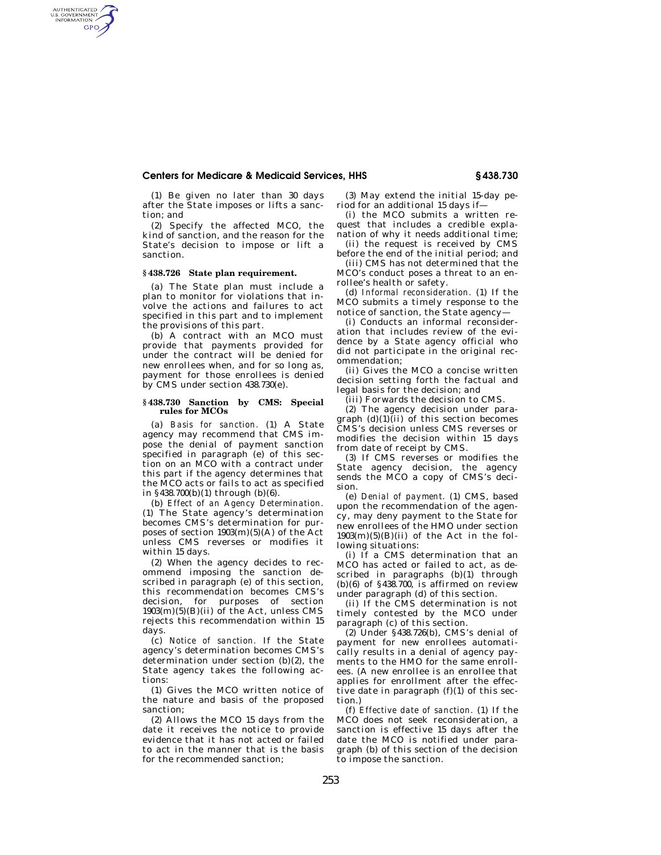# **Centers for Medicare & Medicaid Services, HHS § 438.730**

(1) Be given no later than 30 days after the State imposes or lifts a sanction; and

(2) Specify the affected MCO, the kind of sanction, and the reason for the State's decision to impose or lift a sanction.

# **§ 438.726 State plan requirement.**

AUTHENTICATED<br>U.S. GOVERNMENT<br>INFORMATION GPO

> (a) The State plan must include a plan to monitor for violations that involve the actions and failures to act specified in this part and to implement the provisions of this part.

> (b) A contract with an MCO must provide that payments provided for under the contract will be denied for new enrollees when, and for so long as, payment for those enrollees is denied by CMS under section 438.730(e).

## **§ 438.730 Sanction by CMS: Special rules for MCOs**

(a) *Basis for sanction.* (1) A State agency may recommend that CMS impose the denial of payment sanction specified in paragraph (e) of this section on an MCO with a contract under this part if the agency determines that the MCO acts or fails to act as specified in §438.700(b)(1) through (b)(6).

(b) *Effect of an Agency Determination.*  (1) The State agency's determination becomes CMS's determination for purposes of section  $1903(m)(5)(A)$  of the Act unless CMS reverses or modifies it within 15 days.

(2) When the agency decides to recommend imposing the sanction described in paragraph (e) of this section, this recommendation becomes CMS's decision, for purposes of section  $1903(m)(5)(B)(ii)$  of the Act, unless CMS rejects this recommendation within 15 days.

(c) *Notice of sanction.* If the State agency's determination becomes CMS's determination under section (b)(2), the State agency takes the following actions:

(1) Gives the MCO written notice of the nature and basis of the proposed sanction;

(2) Allows the MCO 15 days from the date it receives the notice to provide evidence that it has not acted or failed to act in the manner that is the basis for the recommended sanction;

(3) May extend the initial 15-day period for an additional 15 days if—

(i) the MCO submits a written request that includes a credible explanation of why it needs additional time;

(ii) the request is received by CMS before the end of the initial period; and

(iii) CMS has not determined that the MCO's conduct poses a threat to an enrollee's health or safety.

(d) *Informal reconsideration.* (1) If the MCO submits a timely response to the notice of sanction, the State agency—

(i) Conducts an informal reconsideration that includes review of the evidence by a State agency official who did not participate in the original recommendation;

(ii) Gives the MCO a concise written decision setting forth the factual and legal basis for the decision; and

(iii) Forwards the decision to CMS.

(2) The agency decision under paragraph  $(d)(1)$ (ii) of this section becomes CMS's decision unless CMS reverses or modifies the decision within 15 days from date of receipt by CMS.

(3) If CMS reverses or modifies the State agency decision, the agency sends the MCO a copy of CMS's decision.

(e) *Denial of payment.* (1) CMS, based upon the recommendation of the agency, may deny payment to the State for new enrollees of the HMO under section  $1903(m)(5)(B)(ii)$  of the Act in the following situations:

(i) If a CMS determination that an MCO has acted or failed to act, as described in paragraphs (b)(1) through  $(b)(6)$  of §438.700, is affirmed on review under paragraph (d) of this section.

(ii) If the CMS determination is not timely contested by the MCO under paragraph (c) of this section.

(2) Under §438.726(b), CMS's denial of payment for new enrollees automatically results in a denial of agency payments to the HMO for the same enrollees. (A new enrollee is an enrollee that applies for enrollment after the effective date in paragraph (f)(1) of this section.)

(f) *Effective date of sanction.* (1) If the MCO does not seek reconsideration, a sanction is effective 15 days after the date the MCO is notified under paragraph (b) of this section of the decision to impose the sanction.